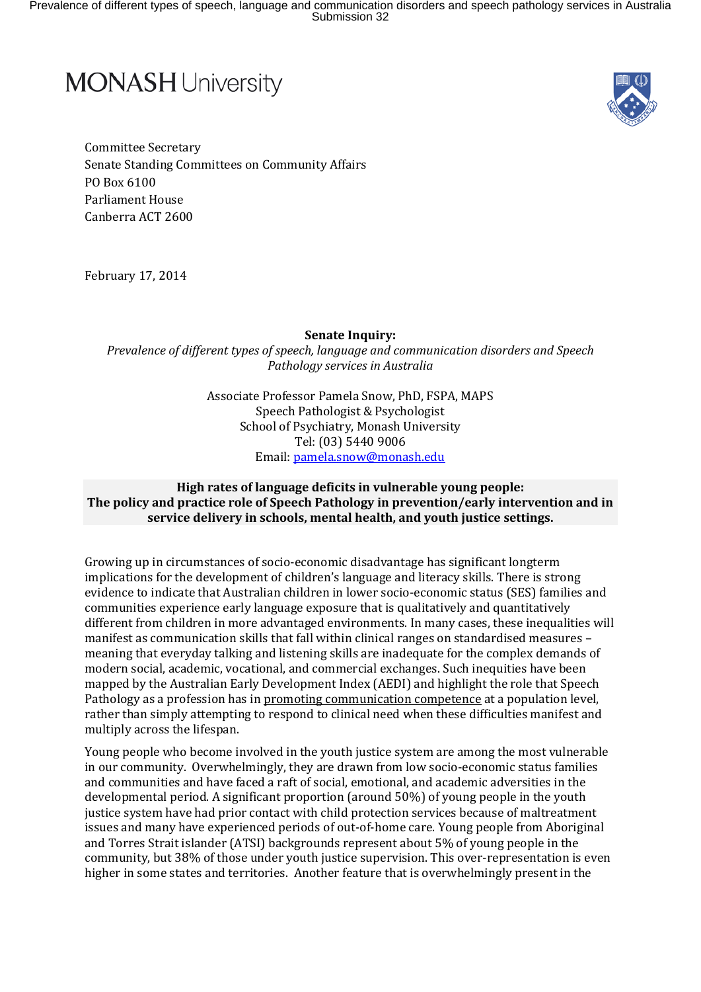Prevalence of different types of speech, language and communication disorders and speech pathology services in Australia Submission 32

**Pamela Snow Senate Submission: Young Offenders and Language Impairment.**



Committee Secretary Senate Standing Committees on Community Affairs PO Box 6100 Parliament House Canberra ACT 2600

February 17, 2014

**Senate Inquiry:** 

*Prevalence of different types of speech, language and communication disorders and Speech Pathology services in Australia*

> Associate Professor Pamela Snow, PhD, FSPA, MAPS Speech Pathologist & Psychologist School of Psychiatry, Monash University Tel: (03) 5440 9006 Email[: pamela.snow@monash.edu](mailto:pamela.snow@monash.edu)

## **High rates of language deficits in vulnerable young people: The policy and practice role of Speech Pathology in prevention/early intervention and in service delivery in schools, mental health, and youth justice settings.**

Growing up in circumstances of socio-economic disadvantage has significant longterm implications for the development of children's language and literacy skills. There is strong evidence to indicate that Australian children in lower socio-economic status (SES) families and communities experience early language exposure that is qualitatively and quantitatively different from children in more advantaged environments. In many cases, these inequalities will manifest as communication skills that fall within clinical ranges on standardised measures – meaning that everyday talking and listening skills are inadequate for the complex demands of modern social, academic, vocational, and commercial exchanges. Such inequities have been mapped by the Australian Early Development Index (AEDI) and highlight the role that Speech Pathology as a profession has in promoting communication competence at a population level, rather than simply attempting to respond to clinical need when these difficulties manifest and multiply across the lifespan.

Young people who become involved in the youth justice system are among the most vulnerable in our community. Overwhelmingly, they are drawn from low socio-economic status families and communities and have faced a raft of social, emotional, and academic adversities in the developmental period. A significant proportion (around 50%) of young people in the youth justice system have had prior contact with child protection services because of maltreatment issues and many have experienced periods of out-of-home care. Young people from Aboriginal and Torres Strait islander (ATSI) backgrounds represent about 5% of young people in the community, but 38% of those under youth justice supervision. This over-representation is even higher in some states and territories. Another feature that is overwhelmingly present in the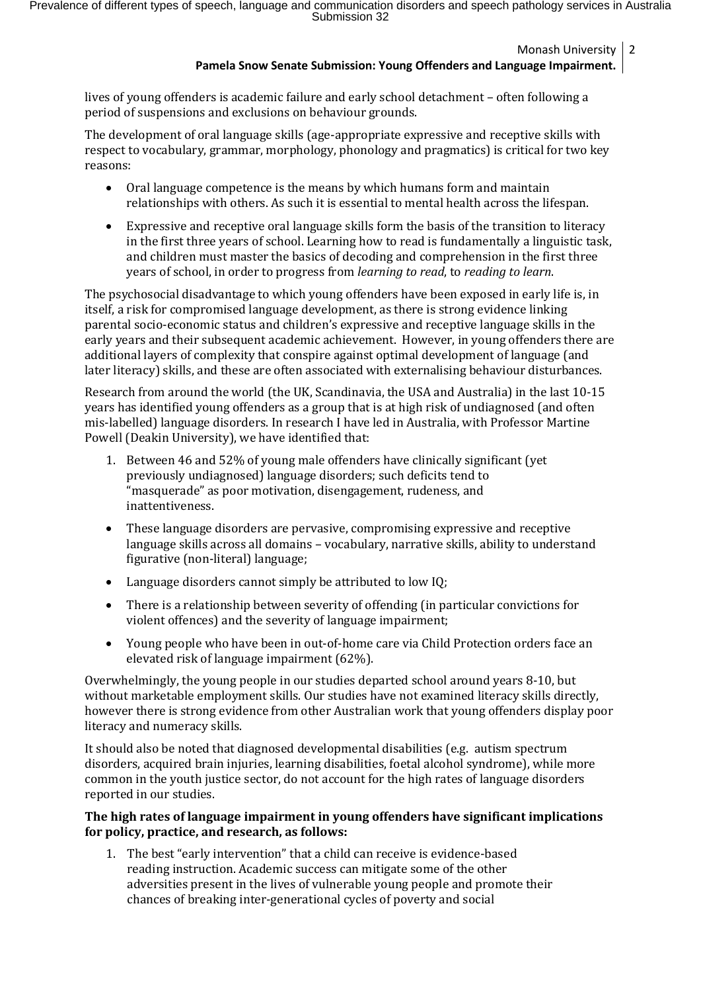Monash University 2

## **Pamela Snow Senate Submission: Young Offenders and Language Impairment.**

lives of young offenders is academic failure and early school detachment – often following a period of suspensions and exclusions on behaviour grounds.

The development of oral language skills (age-appropriate expressive and receptive skills with respect to vocabulary, grammar, morphology, phonology and pragmatics) is critical for two key reasons:

- Oral language competence is the means by which humans form and maintain relationships with others. As such it is essential to mental health across the lifespan.
- Expressive and receptive oral language skills form the basis of the transition to literacy in the first three years of school. Learning how to read is fundamentally a linguistic task, and children must master the basics of decoding and comprehension in the first three years of school, in order to progress from *learning to read*, to *reading to learn*.

The psychosocial disadvantage to which young offenders have been exposed in early life is, in itself, a risk for compromised language development, as there is strong evidence linking parental socio-economic status and children's expressive and receptive language skills in the early years and their subsequent academic achievement. However, in young offenders there are additional layers of complexity that conspire against optimal development of language (and later literacy) skills, and these are often associated with externalising behaviour disturbances.

Research from around the world (the UK, Scandinavia, the USA and Australia) in the last 10-15 years has identified young offenders as a group that is at high risk of undiagnosed (and often mis-labelled) language disorders. In research I have led in Australia, with Professor Martine Powell (Deakin University), we have identified that:

- 1. Between 46 and 52% of young male offenders have clinically significant (yet previously undiagnosed) language disorders; such deficits tend to "masquerade" as poor motivation, disengagement, rudeness, and inattentiveness.
- These language disorders are pervasive, compromising expressive and receptive language skills across all domains – vocabulary, narrative skills, ability to understand figurative (non-literal) language;
- Language disorders cannot simply be attributed to low IQ;
- There is a relationship between severity of offending (in particular convictions for violent offences) and the severity of language impairment;
- Young people who have been in out-of-home care via Child Protection orders face an elevated risk of language impairment (62%).

Overwhelmingly, the young people in our studies departed school around years 8-10, but without marketable employment skills. Our studies have not examined literacy skills directly, however there is strong evidence from other Australian work that young offenders display poor literacy and numeracy skills.

It should also be noted that diagnosed developmental disabilities (e.g. autism spectrum disorders, acquired brain injuries, learning disabilities, foetal alcohol syndrome), while more common in the youth justice sector, do not account for the high rates of language disorders reported in our studies.

## **The high rates of language impairment in young offenders have significant implications for policy, practice, and research, as follows:**

1. The best "early intervention" that a child can receive is evidence-based reading instruction. Academic success can mitigate some of the other adversities present in the lives of vulnerable young people and promote their chances of breaking inter-generational cycles of poverty and social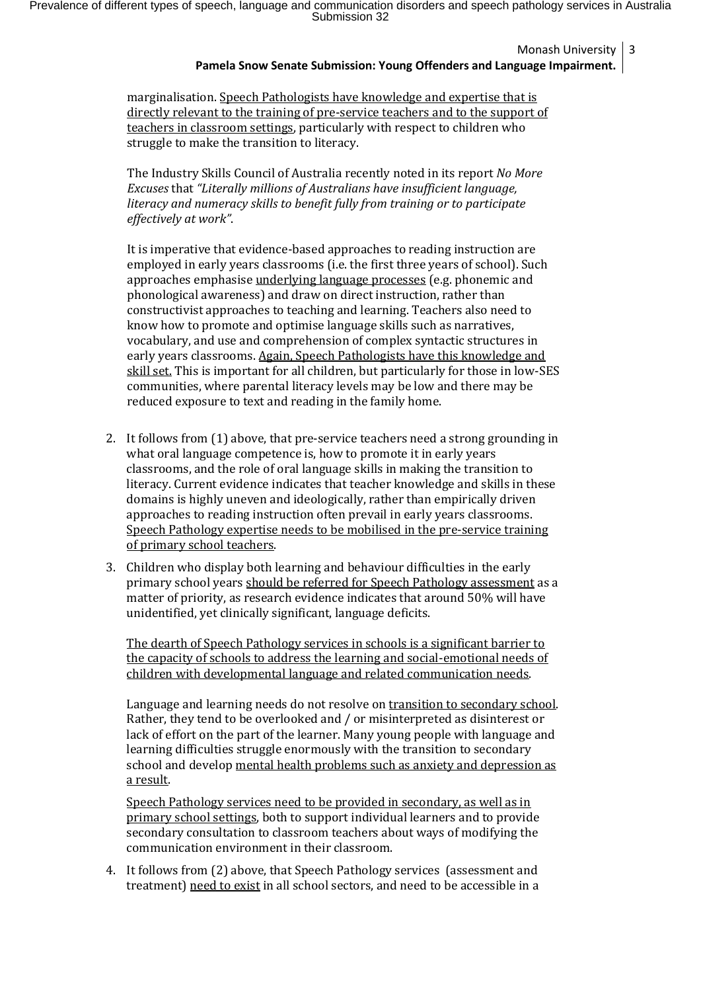Monash University 3

# **Pamela Snow Senate Submission: Young Offenders and Language Impairment.**

marginalisation. Speech Pathologists have knowledge and expertise that is directly relevant to the training of pre-service teachers and to the support of teachers in classroom settings, particularly with respect to children who struggle to make the transition to literacy.

The Industry Skills Council of Australia recently noted in its report *No More Excuses* that *"Literally millions of Australians have insufficient language, literacy and numeracy skills to benefit fully from training or to participate effectively at work"*.

It is imperative that evidence-based approaches to reading instruction are employed in early years classrooms (i.e. the first three years of school). Such approaches emphasise underlying language processes (e.g. phonemic and phonological awareness) and draw on direct instruction, rather than constructivist approaches to teaching and learning. Teachers also need to know how to promote and optimise language skills such as narratives, vocabulary, and use and comprehension of complex syntactic structures in early years classrooms. Again, Speech Pathologists have this knowledge and skill set. This is important for all children, but particularly for those in low-SES communities, where parental literacy levels may be low and there may be reduced exposure to text and reading in the family home.

- 2. It follows from (1) above, that pre-service teachers need a strong grounding in what oral language competence is, how to promote it in early years classrooms, and the role of oral language skills in making the transition to literacy. Current evidence indicates that teacher knowledge and skills in these domains is highly uneven and ideologically, rather than empirically driven approaches to reading instruction often prevail in early years classrooms. Speech Pathology expertise needs to be mobilised in the pre-service training of primary school teachers.
- 3. Children who display both learning and behaviour difficulties in the early primary school years should be referred for Speech Pathology assessment as a matter of priority, as research evidence indicates that around 50% will have unidentified, yet clinically significant, language deficits.

The dearth of Speech Pathology services in schools is a significant barrier to the capacity of schools to address the learning and social-emotional needs of children with developmental language and related communication needs.

Language and learning needs do not resolve on transition to secondary school. Rather, they tend to be overlooked and / or misinterpreted as disinterest or lack of effort on the part of the learner. Many young people with language and learning difficulties struggle enormously with the transition to secondary school and develop mental health problems such as anxiety and depression as a result.

Speech Pathology services need to be provided in secondary, as well as in primary school settings, both to support individual learners and to provide secondary consultation to classroom teachers about ways of modifying the communication environment in their classroom.

4. It follows from (2) above, that Speech Pathology services (assessment and treatment) need to exist in all school sectors, and need to be accessible in a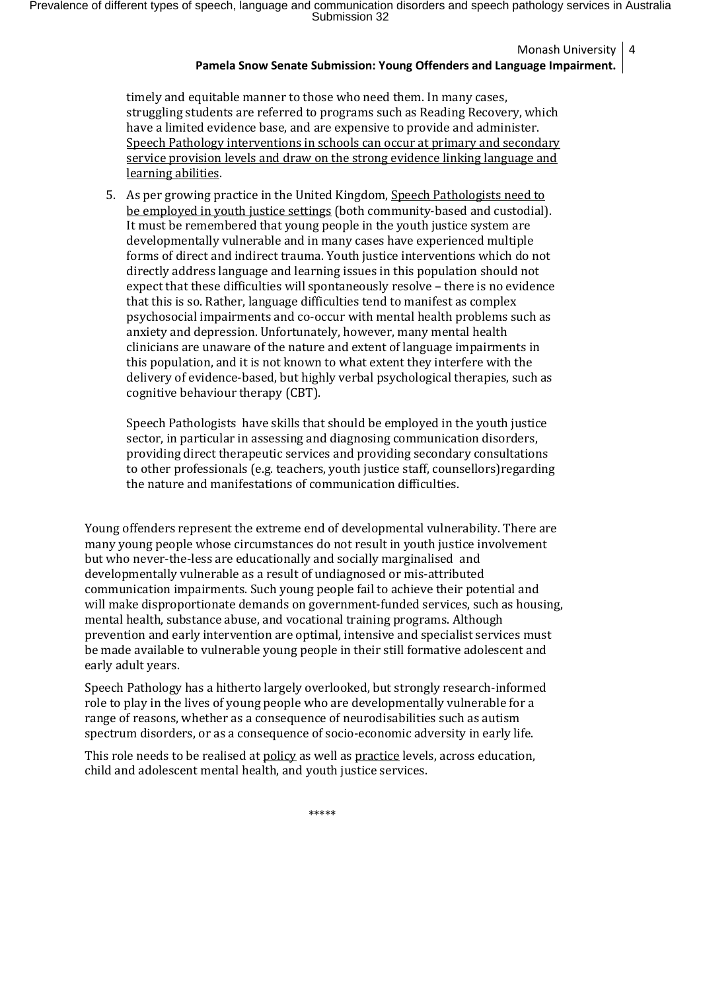Prevalence of different types of speech, language and communication disorders and speech pathology services in Australia Submission 32

Monash University 4

### **Pamela Snow Senate Submission: Young Offenders and Language Impairment.**

timely and equitable manner to those who need them. In many cases, struggling students are referred to programs such as Reading Recovery, which have a limited evidence base, and are expensive to provide and administer. Speech Pathology interventions in schools can occur at primary and secondary service provision levels and draw on the strong evidence linking language and learning abilities.

5. As per growing practice in the United Kingdom, Speech Pathologists need to be employed in youth justice settings (both community-based and custodial). It must be remembered that young people in the youth justice system are developmentally vulnerable and in many cases have experienced multiple forms of direct and indirect trauma. Youth justice interventions which do not directly address language and learning issues in this population should not expect that these difficulties will spontaneously resolve – there is no evidence that this is so. Rather, language difficulties tend to manifest as complex psychosocial impairments and co-occur with mental health problems such as anxiety and depression. Unfortunately, however, many mental health clinicians are unaware of the nature and extent of language impairments in this population, and it is not known to what extent they interfere with the delivery of evidence-based, but highly verbal psychological therapies, such as cognitive behaviour therapy (CBT).

Speech Pathologists have skills that should be employed in the youth justice sector, in particular in assessing and diagnosing communication disorders, providing direct therapeutic services and providing secondary consultations to other professionals (e.g. teachers, youth justice staff, counsellors)regarding the nature and manifestations of communication difficulties.

Young offenders represent the extreme end of developmental vulnerability. There are many young people whose circumstances do not result in youth justice involvement but who never-the-less are educationally and socially marginalised and developmentally vulnerable as a result of undiagnosed or mis-attributed communication impairments. Such young people fail to achieve their potential and will make disproportionate demands on government-funded services, such as housing, mental health, substance abuse, and vocational training programs. Although prevention and early intervention are optimal, intensive and specialist services must be made available to vulnerable young people in their still formative adolescent and early adult years.

Speech Pathology has a hitherto largely overlooked, but strongly research-informed role to play in the lives of young people who are developmentally vulnerable for a range of reasons, whether as a consequence of neurodisabilities such as autism spectrum disorders, or as a consequence of socio-economic adversity in early life.

This role needs to be realised at policy as well as practice levels, across education, child and adolescent mental health, and youth justice services.

\*\*\*\*\*